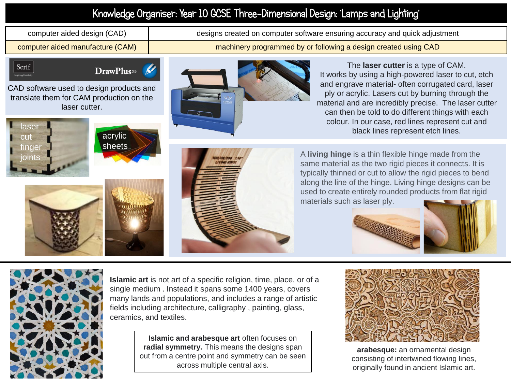## Knowledge Organiser: Year 10 GCSE Three-Dimensional Design: 'Lamps and Lighting'

computer aided design (CAD) designs created on computer software ensuring accuracy and quick adjustment

computer aided manufacture (CAM) machinery programmed by or following a design created using CAD

Serif

DrawPlus<sup>x5</sup>

CAD software used to design products and translate them for CAM production on the laser cutter.





The **laser cutter** is a type of CAM. It works by using a high-powered laser to cut, etch and engrave material- often corrugated card, laser ply or acrylic. Lasers cut by burning through the material and are incredibly precise. The laser cutter can then be told to do different things with each colour. In our case, red lines represent cut and

A **living hinge** is a thin flexible hinge made from the same material as the two rigid pieces it connects. It is typically thinned or cut to allow the rigid pieces to bend along the line of the hinge. Living hinge designs can be used to create entirely rounded products from flat rigid materials such as laser ply.







**Islamic art** is not art of a specific religion, time, place, or of a single medium . Instead it spans some 1400 years, covers many lands and populations, and includes a range of artistic fields including architecture, calligraphy , painting, glass, ceramics, and textiles.

> **Islamic and arabesque art** often focuses on **radial symmetry.** This means the designs span out from a centre point and symmetry can be seen across multiple central axis.



**arabesque:** an ornamental design consisting of intertwined flowing lines, originally found in ancient Islamic art.